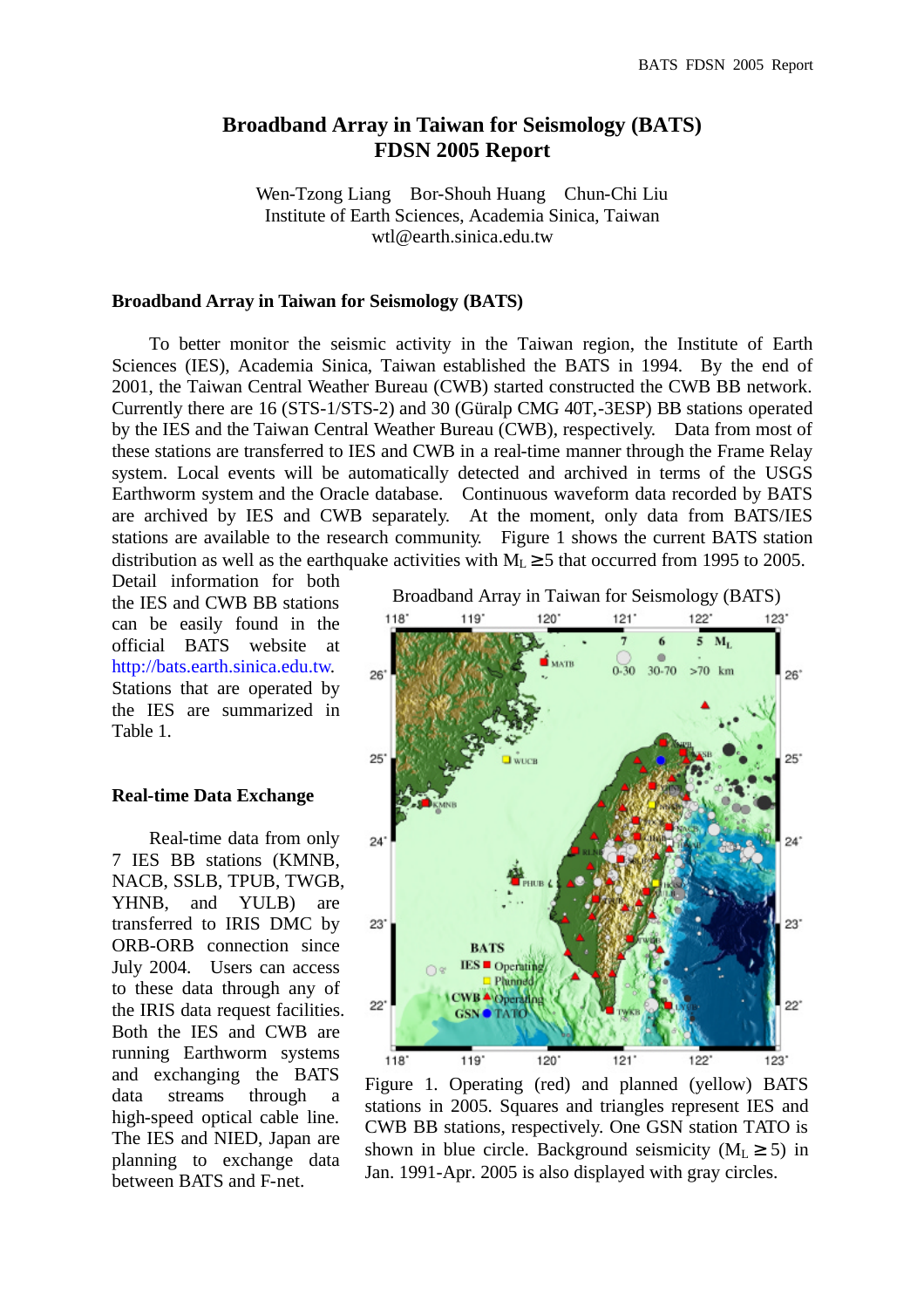# **Broadband Array in Taiwan for Seismology (BATS) FDSN 2005 Report**

Wen-Tzong Liang Bor-Shouh Huang Chun-Chi Liu Institute of Earth Sciences, Academia Sinica, Taiwan wtl@earth.sinica.edu.tw

## **Broadband Array in Taiwan for Seismology (BATS)**

To better monitor the seismic activity in the Taiwan region, the Institute of Earth Sciences (IES), Academia Sinica, Taiwan established the BATS in 1994. By the end of 2001, the Taiwan Central Weather Bureau (CWB) started constructed the CWB BB network. Currently there are 16 (STS-1/STS-2) and 30 (Güralp CMG 40T,-3ESP) BB stations operated by the IES and the Taiwan Central Weather Bureau (CWB), respectively. Data from most of these stations are transferred to IES and CWB in a real-time manner through the Frame Relay system. Local events will be automatically detected and archived in terms of the USGS Earthworm system and the Oracle database. Continuous waveform data recorded by BATS are archived by IES and CWB separately. At the moment, only data from BATS/IES stations are available to the research community. Figure 1 shows the current BATS station distribution as well as the earthquake activities with  $M_L \ge 5$  that occurred from 1995 to 2005.

Detail information for both the IES and CWB BB stations can be easily found in the official BATS website at http://bats.earth.sinica.edu.tw. Stations that are operated by the IES are summarized in Table 1.

#### **Real-time Data Exchange**

Real-time data from only 7 IES BB stations (KMNB, NACB, SSLB, TPUB, TWGB, YHNB, and YULB) are transferred to IRIS DMC by ORB-ORB connection since July 2004. Users can access to these data through any of the IRIS data request facilities. Both the IES and CWB are running Earthworm systems and exchanging the BATS data streams through a high-speed optical cable line. The IES and NIED, Japan are planning to exchange data between BATS and F-net.



Figure 1. Operating (red) and planned (yellow) BATS stations in 2005. Squares and triangles represent IES and CWB BB stations, respectively. One GSN station TATO is shown in blue circle. Background seismicity ( $M<sub>L</sub> \ge 5$ ) in Jan. 1991-Apr. 2005 is also displayed with gray circles.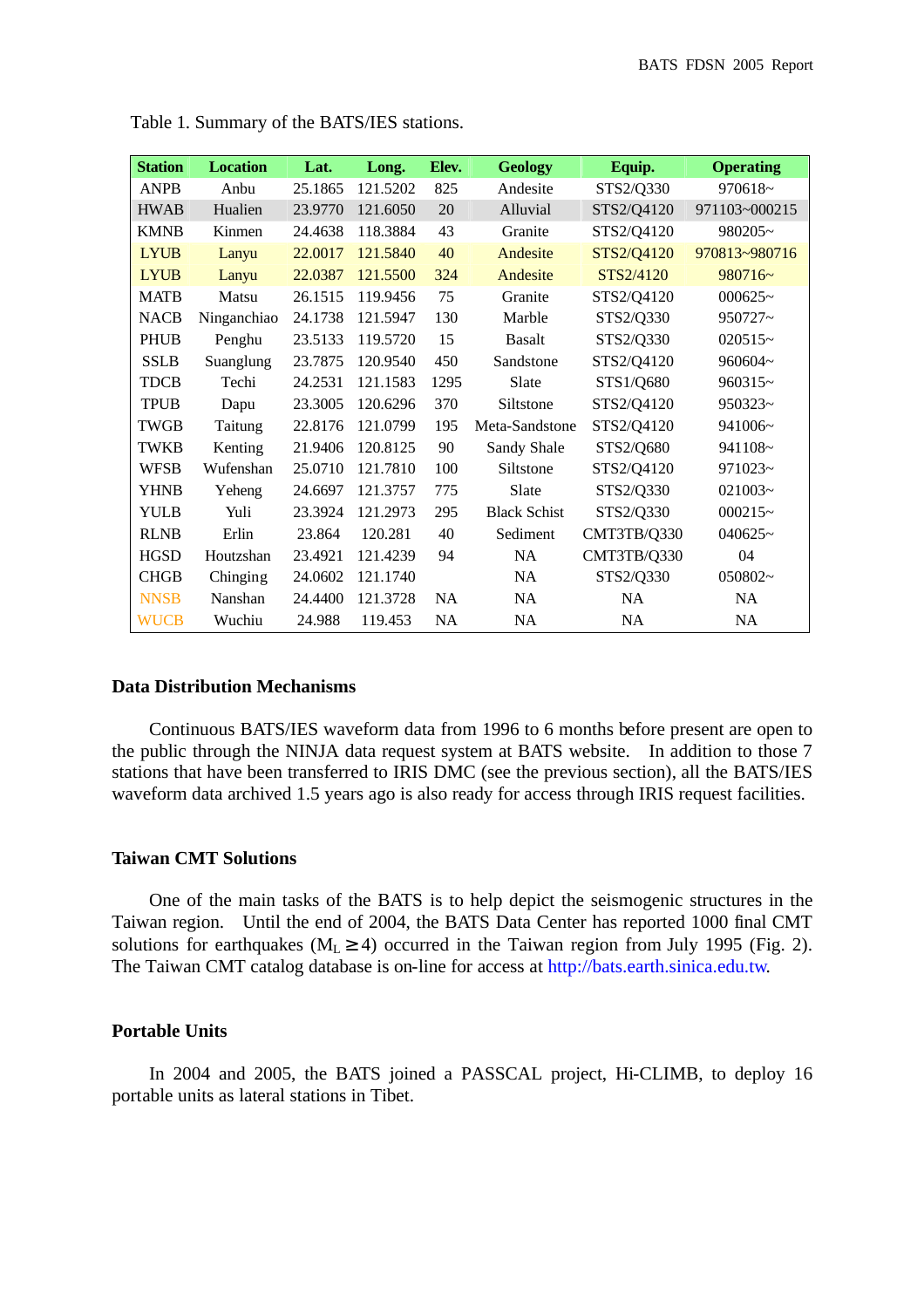| <b>Station</b> | <b>Location</b> | Lat.    | Long.    | Elev.     | <b>Geology</b>      | Equip.      | <b>Operating</b> |
|----------------|-----------------|---------|----------|-----------|---------------------|-------------|------------------|
| <b>ANPB</b>    | Anbu            | 25.1865 | 121.5202 | 825       | Andesite            | STS2/Q330   | 970618~          |
| <b>HWAB</b>    | Hualien         | 23.9770 | 121.6050 | 20        | Alluvial            | STS2/Q4120  | 971103~000215    |
| <b>KMNB</b>    | Kinmen          | 24.4638 | 118.3884 | 43        | Granite             | STS2/Q4120  | 980205~          |
| <b>LYUB</b>    | Lanyu           | 22.0017 | 121.5840 | 40        | Andesite            | STS2/Q4120  | 970813~980716    |
| <b>LYUB</b>    | Lanyu           | 22.0387 | 121.5500 | 324       | Andesite            | STS2/4120   | $980716-$        |
| <b>MATB</b>    | Matsu           | 26.1515 | 119.9456 | 75        | Granite             | STS2/Q4120  | $000625-$        |
| <b>NACB</b>    | Ninganchiao     | 24.1738 | 121.5947 | 130       | Marble              | STS2/Q330   | 950727~          |
| <b>PHUB</b>    | Penghu          | 23.5133 | 119.5720 | 15        | <b>Basalt</b>       | STS2/Q330   | $020515-$        |
| <b>SSLB</b>    | Suanglung       | 23.7875 | 120.9540 | 450       | Sandstone           | STS2/Q4120  | 960604~          |
| <b>TDCB</b>    | Techi           | 24.2531 | 121.1583 | 1295      | Slate               | STS1/Q680   | 960315~          |
| <b>TPUB</b>    | Dapu            | 23.3005 | 120.6296 | 370       | Siltstone           | STS2/Q4120  | $950323-$        |
| <b>TWGB</b>    | Taitung         | 22.8176 | 121.0799 | 195       | Meta-Sandstone      | STS2/Q4120  | 941006~          |
| <b>TWKB</b>    | Kenting         | 21.9406 | 120.8125 | 90        | Sandy Shale         | STS2/Q680   | 941108~          |
| <b>WFSB</b>    | Wufenshan       | 25.0710 | 121.7810 | 100       | Siltstone           | STS2/Q4120  | 971023~          |
| <b>YHNB</b>    | Yeheng          | 24.6697 | 121.3757 | 775       | Slate               | STS2/Q330   | $021003 -$       |
| <b>YULB</b>    | Yuli            | 23.3924 | 121.2973 | 295       | <b>Black Schist</b> | STS2/Q330   | $000215-$        |
| <b>RLNB</b>    | Erlin           | 23.864  | 120.281  | 40        | Sediment            | CMT3TB/Q330 | $040625 -$       |
| <b>HGSD</b>    | Houtzshan       | 23.4921 | 121.4239 | 94        | NA                  | CMT3TB/Q330 | 04               |
| <b>CHGB</b>    | Chinging        | 24.0602 | 121.1740 |           | NA                  | STS2/Q330   | 050802~          |
| <b>NNSB</b>    | Nanshan         | 24.4400 | 121.3728 | <b>NA</b> | NA                  | NA          | NA               |
| <b>WUCB</b>    | Wuchiu          | 24.988  | 119.453  | <b>NA</b> | <b>NA</b>           | <b>NA</b>   | <b>NA</b>        |

Table 1. Summary of the BATS/IES stations.

#### **Data Distribution Mechanisms**

Continuous BATS/IES waveform data from 1996 to 6 months before present are open to the public through the NINJA data request system at BATS website. In addition to those 7 stations that have been transferred to IRIS DMC (see the previous section), all the BATS/IES waveform data archived 1.5 years ago is also ready for access through IRIS request facilities.

# **Taiwan CMT Solutions**

One of the main tasks of the BATS is to help depict the seismogenic structures in the Taiwan region. Until the end of 2004, the BATS Data Center has reported 1000 final CMT solutions for earthquakes ( $M<sub>L</sub> \ge 4$ ) occurred in the Taiwan region from July 1995 (Fig. 2). The Taiwan CMT catalog database is on-line for access at http://bats.earth.sinica.edu.tw.

## **Portable Units**

In 2004 and 2005, the BATS joined a PASSCAL project, Hi-CLIMB, to deploy 16 portable units as lateral stations in Tibet.